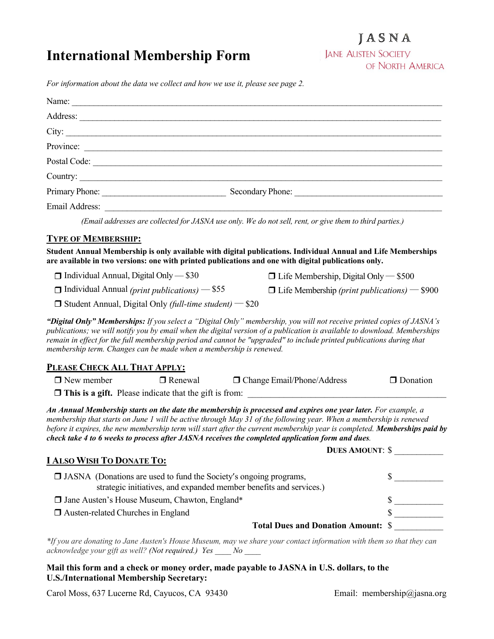# **International Membership Form**

## JASNA

**JANE AUSTEN SOCIETY** OF NORTH AMERICA

*For information about the data we collect and how we use it, please see page 2.*

|                                                                    |                                                                                                             | Address:                                                                                                                                                                                                                                                                                                                                                                                                                                                              |                                                |  |
|--------------------------------------------------------------------|-------------------------------------------------------------------------------------------------------------|-----------------------------------------------------------------------------------------------------------------------------------------------------------------------------------------------------------------------------------------------------------------------------------------------------------------------------------------------------------------------------------------------------------------------------------------------------------------------|------------------------------------------------|--|
|                                                                    |                                                                                                             |                                                                                                                                                                                                                                                                                                                                                                                                                                                                       |                                                |  |
|                                                                    |                                                                                                             | Province:                                                                                                                                                                                                                                                                                                                                                                                                                                                             |                                                |  |
|                                                                    |                                                                                                             |                                                                                                                                                                                                                                                                                                                                                                                                                                                                       |                                                |  |
|                                                                    |                                                                                                             | Country:                                                                                                                                                                                                                                                                                                                                                                                                                                                              |                                                |  |
|                                                                    |                                                                                                             |                                                                                                                                                                                                                                                                                                                                                                                                                                                                       |                                                |  |
|                                                                    |                                                                                                             |                                                                                                                                                                                                                                                                                                                                                                                                                                                                       |                                                |  |
|                                                                    |                                                                                                             | (Email addresses are collected for JASNA use only. We do not sell, rent, or give them to third parties.)                                                                                                                                                                                                                                                                                                                                                              |                                                |  |
| <b>TYPE OF MEMBERSHIP:</b>                                         |                                                                                                             |                                                                                                                                                                                                                                                                                                                                                                                                                                                                       |                                                |  |
|                                                                    |                                                                                                             | Student Annual Membership is only available with digital publications. Individual Annual and Life Memberships                                                                                                                                                                                                                                                                                                                                                         |                                                |  |
|                                                                    |                                                                                                             | are available in two versions: one with printed publications and one with digital publications only.                                                                                                                                                                                                                                                                                                                                                                  |                                                |  |
| $\Box$ Individual Annual, Digital Only $-$ \$30                    |                                                                                                             |                                                                                                                                                                                                                                                                                                                                                                                                                                                                       | $\Box$ Life Membership, Digital Only $-$ \$500 |  |
|                                                                    | $\Box$ Individual Annual (print publications) – \$55<br>$\Box$ Life Membership (print publications) – \$900 |                                                                                                                                                                                                                                                                                                                                                                                                                                                                       |                                                |  |
| $\Box$ Student Annual, Digital Only (full-time student) – \$20     |                                                                                                             |                                                                                                                                                                                                                                                                                                                                                                                                                                                                       |                                                |  |
| membership term. Changes can be made when a membership is renewed. |                                                                                                             | "Digital Only" Memberships: If you select a "Digital Only" membership, you will not receive printed copies of JASNA's<br>publications; we will notify you by email when the digital version of a publication is available to download. Memberships<br>remain in effect for the full membership period and cannot be "upgraded" to include printed publications during that                                                                                            |                                                |  |
| PLEASE CHECK ALL THAT APPLY:                                       |                                                                                                             |                                                                                                                                                                                                                                                                                                                                                                                                                                                                       |                                                |  |
| $\Box$ New member                                                  | $\Box$ Renewal                                                                                              | $\Box$ Change Email/Phone/Address                                                                                                                                                                                                                                                                                                                                                                                                                                     | <b>Donation</b>                                |  |
|                                                                    |                                                                                                             |                                                                                                                                                                                                                                                                                                                                                                                                                                                                       |                                                |  |
|                                                                    |                                                                                                             | An Annual Membership starts on the date the membership is processed and expires one year later. For example, a<br>membership that starts on June 1 will be active through May 31 of the following year. When a membership is renewed<br>before it expires, the new membership term will start after the current membership year is completed. Memberships paid by<br>check take 4 to 6 weeks to process after JASNA receives the completed application form and dues. |                                                |  |
|                                                                    |                                                                                                             | <b>DUES AMOUNT: \$</b>                                                                                                                                                                                                                                                                                                                                                                                                                                                |                                                |  |
| <b>I ALSO WISH TO DONATE TO:</b>                                   |                                                                                                             |                                                                                                                                                                                                                                                                                                                                                                                                                                                                       |                                                |  |
|                                                                    |                                                                                                             | <b>I</b> JASNA (Donations are used to fund the Society's ongoing programs,<br>strategic initiatives, and expanded member benefits and services.)                                                                                                                                                                                                                                                                                                                      | $\sim$                                         |  |
| □ Jane Austen's House Museum, Chawton, England*                    |                                                                                                             |                                                                                                                                                                                                                                                                                                                                                                                                                                                                       | $\sim$                                         |  |
| □ Austen-related Churches in England                               |                                                                                                             |                                                                                                                                                                                                                                                                                                                                                                                                                                                                       |                                                |  |
|                                                                    |                                                                                                             | <b>Total Dues and Donation Amount: \$</b>                                                                                                                                                                                                                                                                                                                                                                                                                             |                                                |  |

*\*If you are donating to Jane Austen's House Museum, may we share your contact information with them so that they can acknowledge your gift as well? (Not required.) Yes \_\_\_\_ No \_\_\_\_*

#### **Mail this form and a check or money order, made payable to JASNA in U.S. dollars, to the U.S./International Membership Secretary:**

Carol Moss, 637 Lucerne Rd, Cayucos, CA 93430 Email: membership@jasna.org